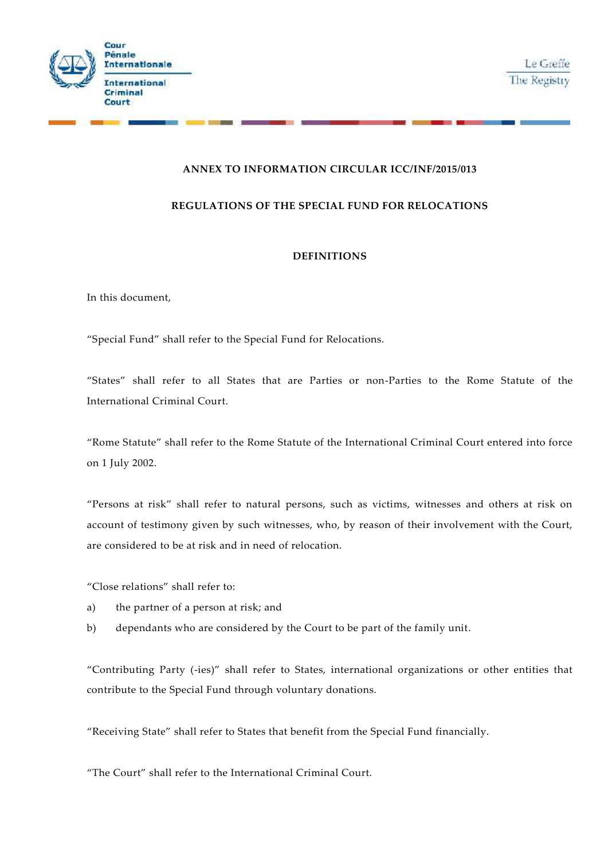



# **ANNEX TO INFORMATION CIRCULAR ICC/INF/2015/013**

## **REGULATIONS OF THE SPECIAL FUND FOR RELOCATIONS**

## **DEFINITIONS**

In this document,

"Special Fund" shall refer to the Special Fund for Relocations.

"States" shall refer to all States that are Parties or non-Parties to the Rome Statute of the International Criminal Court.

"Rome Statute" shall refer to the Rome Statute of the International Criminal Court entered into force on 1 July 2002.

"Persons at risk" shall refer to natural persons, such as victims, witnesses and others at risk on account of testimony given by such witnesses, who, by reason of their involvement with the Court, are considered to be at risk and in need of relocation.

"Close relations" shall refer to:

- a) the partner of a person at risk; and
- b) dependants who are considered by the Court to be part of the family unit.

"Contributing Party (-ies)" shall refer to States, international organizations or other entities that contribute to the Special Fund through voluntary donations.

"Receiving State" shall refer to States that benefit from the Special Fund financially.

"The Court" shall refer to the International Criminal Court.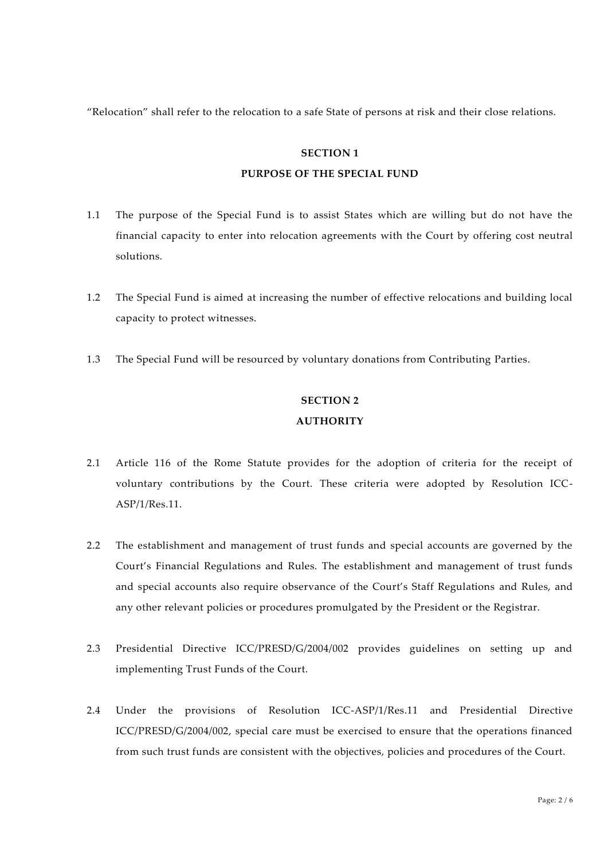"Relocation" shall refer to the relocation to a safe State of persons at risk and their close relations.

#### **SECTION 1**

#### **PURPOSE OF THE SPECIAL FUND**

- 1.1 The purpose of the Special Fund is to assist States which are willing but do not have the financial capacity to enter into relocation agreements with the Court by offering cost neutral solutions.
- 1.2 The Special Fund is aimed at increasing the number of effective relocations and building local capacity to protect witnesses.
- 1.3 The Special Fund will be resourced by voluntary donations from Contributing Parties.

# **SECTION 2 AUTHORITY**

- 2.1 Article 116 of the Rome Statute provides for the adoption of criteria for the receipt of voluntary contributions by the Court. These criteria were adopted by Resolution ICC- ASP/1/Res.11.
- 2.2 The establishment and management of trust funds and special accounts are governed by the Court's Financial Regulations and Rules. The establishment and management of trust funds and special accounts also require observance of the Court's Staff Regulations and Rules, and any other relevant policies or procedures promulgated by the President or the Registrar.
- 2.3 Presidential Directive ICC/PRESD/G/2004/002 provides guidelines on setting up and implementing Trust Funds of the Court.
- 2.4 Under the provisions of Resolution ICC-ASP/1/Res.11 and Presidential Directive ICC/PRESD/G/2004/002, special care must be exercised to ensure that the operations financed from such trust funds are consistent with the objectives, policies and procedures of the Court.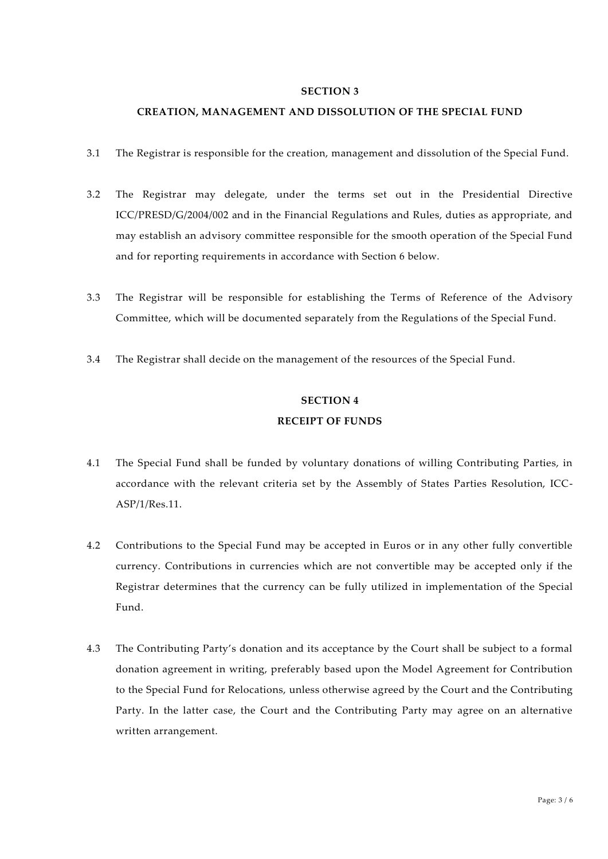#### **SECTION 3**

#### **CREATION, MANAGEMENT AND DISSOLUTION OF THE SPECIAL FUND**

- 3.1 The Registrar is responsible for the creation, management and dissolution of the Special Fund.
- 3.2 The Registrar may delegate, under the terms set out in the Presidential Directive ICC/PRESD/G/2004/002 and in the Financial Regulations and Rules, duties as appropriate, and may establish an advisory committee responsible for the smooth operation of the Special Fund and for reporting requirements in accordance with Section 6 below.
- 3.3 The Registrar will be responsible for establishing the Terms of Reference of the Advisory Committee, which will be documented separately from the Regulations of the Special Fund.
- 3.4 The Registrar shall decide on the management of the resources of the Special Fund.

# **SECTION 4 RECEIPT OF FUNDS**

- 4.1 The Special Fund shall be funded by voluntary donations of willing Contributing Parties, in accordance with the relevant criteria set by the Assembly of States Parties Resolution, ICC- ASP/1/Res.11.
- 4.2 Contributions to the Special Fund may be accepted in Euros or in any other fully convertible currency. Contributions in currencies which are not convertible may be accepted only if the Registrar determines that the currency can be fully utilized in implementation of the Special Fund.
- 4.3 The Contributing Party's donation and its acceptance by the Court shall be subject to a formal donation agreement in writing, preferably based upon the Model Agreement for Contribution to the Special Fund for Relocations, unless otherwise agreed by the Court and the Contributing Party. In the latter case, the Court and the Contributing Party may agree on an alternative written arrangement.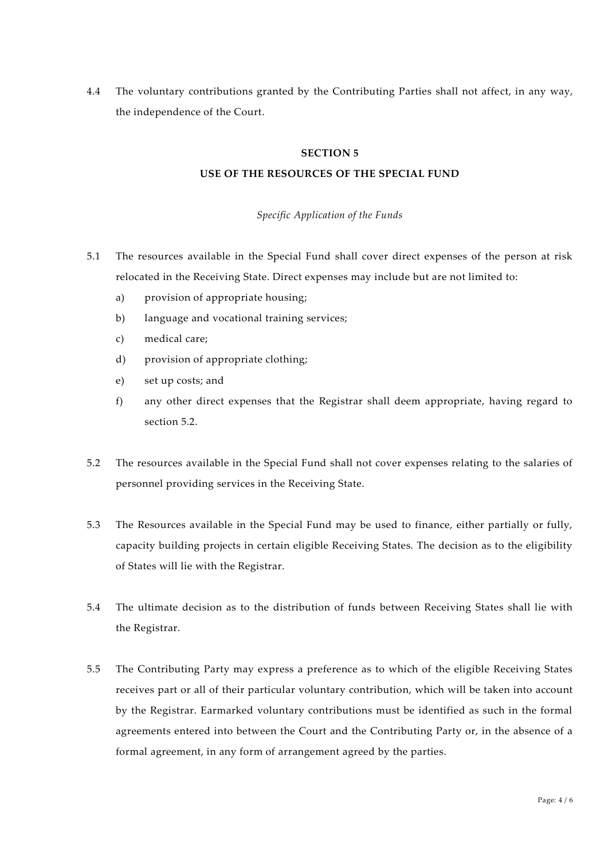4.4 The voluntary contributions granted by the Contributing Parties shall not affect, in any way, the independence of the Court.

#### **SECTION 5**

## **USE OF THE RESOURCES OF THE SPECIAL FUND**

#### *Specific Application of the Funds*

- 5.1 The resources available in the Special Fund shall cover direct expenses of the person at risk relocated in the Receiving State. Direct expenses may include but are not limited to:
	- a) provision of appropriate housing;
	- b) language and vocational training services;
	- c) medical care;
	- d) provision of appropriate clothing;
	- e) set up costs; and
	- f) any other direct expenses that the Registrar shall deem appropriate, having regard to section 5.2.
- 5.2 The resources available in the Special Fund shall not cover expenses relating to the salaries of personnel providing services in the Receiving State.
- 5.3 The Resources available in the Special Fund may be used to finance, either partially or fully, capacity building projects in certain eligible Receiving States. The decision as to the eligibility of States will lie with the Registrar.
- 5.4 The ultimate decision as to the distribution of funds between Receiving States shall lie with the Registrar.
- 5.5 The Contributing Party may express a preference as to which of the eligible Receiving States receives part or all of their particular voluntary contribution, which will be taken into account by the Registrar. Earmarked voluntary contributions must be identified as such in the formal agreements entered into between the Court and the Contributing Party or, in the absence of a formal agreement, in any form of arrangement agreed by the parties.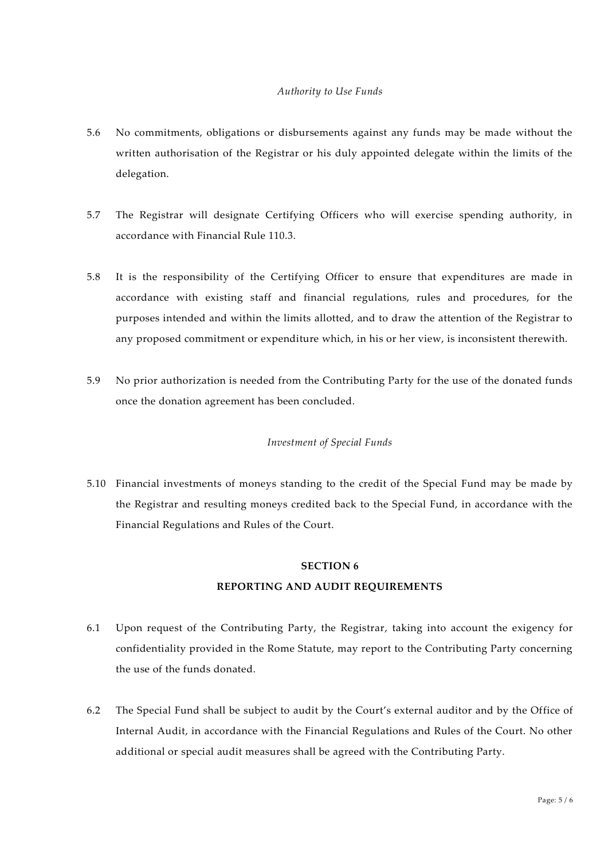#### *Authority to Use Funds*

- 5.6 No commitments, obligations or disbursements against any funds may be made without the written authorisation of the Registrar or his duly appointed delegate within the limits of the delegation.
- 5.7 The Registrar will designate Certifying Officers who will exercise spending authority, in accordance with Financial Rule 110.3.
- 5.8 It is the responsibility of the Certifying Officer to ensure that expenditures are made in accordance with existing staff and financial regulations, rules and procedures, for the purposes intended and within the limits allotted, and to draw the attention of the Registrar to any proposed commitment or expenditure which, in his or her view, is inconsistent therewith.
- 5.9 No prior authorization is needed from the Contributing Party for the use of the donated funds once the donation agreement has been concluded.

## *Investment of Special Funds*

5.10 Financial investments of moneys standing to the credit of the Special Fund may be made by the Registrar and resulting moneys credited back to the Special Fund, in accordance with the Financial Regulations and Rules of the Court.

## **SECTION 6**

## **REPORTING AND AUDIT REQUIREMENTS**

- 6.1 Upon request of the Contributing Party, the Registrar, taking into account the exigency for confidentiality provided in the Rome Statute, may report to the Contributing Party concerning the use of the funds donated.
- 6.2 The Special Fund shall be subject to audit by the Court's external auditor and by the Office of Internal Audit, in accordance with the Financial Regulations and Rules of the Court. No other additional or special audit measures shall be agreed with the Contributing Party.